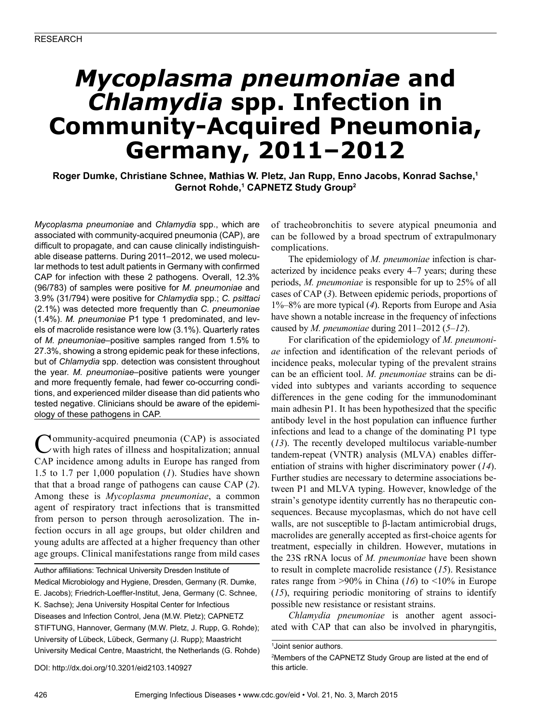# *Mycoplasma pneumoniae* **and**  *Chlamydia* **spp. Infection in Community-Acquired Pneumonia, Germany, 2011–2012**

**Roger Dumke, Christiane Schnee, Mathias W. Pletz, Jan Rupp, Enno Jacobs, Konrad Sachse,<sup>1</sup> Gernot Rohde,1 CAPNETZ Study Group2**

*Mycoplasma pneumoniae* and *Chlamydia* spp., which are associated with community-acquired pneumonia (CAP), are difficult to propagate, and can cause clinically indistinguishable disease patterns. During 2011–2012, we used molecular methods to test adult patients in Germany with confirmed CAP for infection with these 2 pathogens. Overall, 12.3% (96/783) of samples were positive for *M. pneumoniae* and 3.9% (31/794) were positive for *Chlamydia* spp.; *C. psittaci* (2.1%) was detected more frequently than *C. pneumoniae* (1.4%). *M. pneumoniae* P1 type 1 predominated, and levels of macrolide resistance were low (3.1%). Quarterly rates of *M. pneumoniae*–positive samples ranged from 1.5% to 27.3%, showing a strong epidemic peak for these infections, but of *Chlamydia* spp. detection was consistent throughout the year. *M. pneumoniae*–positive patients were younger and more frequently female, had fewer co-occurring conditions, and experienced milder disease than did patients who tested negative. Clinicians should be aware of the epidemiology of these pathogens in CAP.

Community-acquired pneumonia (CAP) is associated with high rates of illness and hospitalization; annual CAP incidence among adults in Europe has ranged from 1.5 to 1.7 per 1,000 population (*1*). Studies have shown that that a broad range of pathogens can cause CAP (*2*). Among these is *Mycoplasma pneumoniae*, a common agent of respiratory tract infections that is transmitted from person to person through aerosolization. The infection occurs in all age groups, but older children and young adults are affected at a higher frequency than other age groups. Clinical manifestations range from mild cases

Author affiliations: Technical University Dresden Institute of Medical Microbiology and Hygiene, Dresden, Germany (R. Dumke, E. Jacobs); Friedrich-Loeffler-Institut, Jena, Germany (C. Schnee, K. Sachse); Jena University Hospital Center for Infectious Diseases and Infection Control, Jena (M.W. Pletz); CAPNETZ STIFTUNG, Hannover, Germany (M.W. Pletz, J. Rupp, G. Rohde); University of Lübeck, Lübeck, Germany (J. Rupp); Maastricht University Medical Centre, Maastricht, the Netherlands (G. Rohde) of tracheobronchitis to severe atypical pneumonia and can be followed by a broad spectrum of extrapulmonary complications.

The epidemiology of *M. pneumoniae* infection is characterized by incidence peaks every 4–7 years; during these periods, *M. pneumoniae* is responsible for up to 25% of all cases of CAP (*3*). Between epidemic periods, proportions of 1%–8% are more typical (*4*). Reports from Europe and Asia have shown a notable increase in the frequency of infections caused by *M. pneumoniae* during 2011–2012 (*5–12*).

For clarification of the epidemiology of *M. pneumoniae* infection and identification of the relevant periods of incidence peaks, molecular typing of the prevalent strains can be an efficient tool. *M. pneumoniae* strains can be divided into subtypes and variants according to sequence differences in the gene coding for the immunodominant main adhesin P1. It has been hypothesized that the specific antibody level in the host population can influence further infections and lead to a change of the dominating P1 type (*13*). The recently developed multilocus variable-number tandem-repeat (VNTR) analysis (MLVA) enables differentiation of strains with higher discriminatory power (*14*). Further studies are necessary to determine associations between P1 and MLVA typing. However, knowledge of the strain's genotype identity currently has no therapeutic consequences. Because mycoplasmas, which do not have cell walls, are not susceptible to β-lactam antimicrobial drugs, macrolides are generally accepted as first-choice agents for treatment, especially in children. However, mutations in the 23S rRNA locus of *M. pneumoniae* have been shown to result in complete macrolide resistance (*15*). Resistance rates range from >90% in China (*16*) to <10% in Europe (*15*), requiring periodic monitoring of strains to identify possible new resistance or resistant strains.

*Chlamydia pneumoniae* is another agent associated with CAP that can also be involved in pharyngitis,

DOI: http://dx.doi.org/10.3201/eid2103.140927

<sup>1</sup> Joint senior authors.

<sup>2</sup> Members of the CAPNETZ Study Group are listed at the end of this article.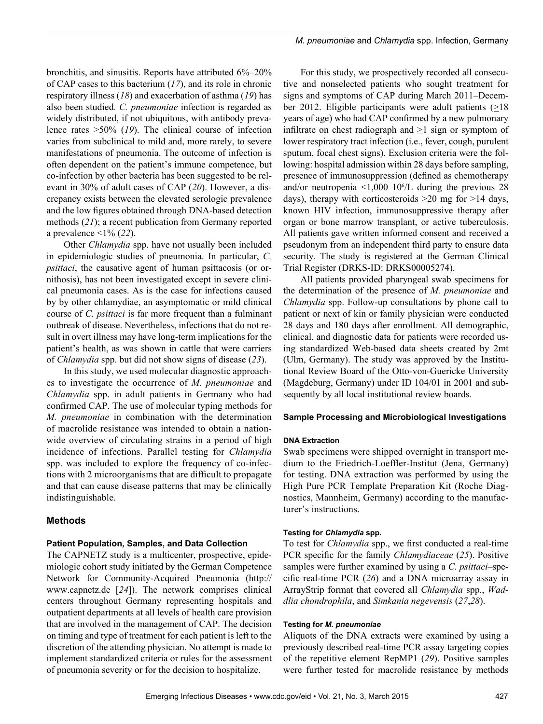*M. pneumoniae* and *Chlamydia* spp. Infection, Germany

bronchitis, and sinusitis. Reports have attributed 6%–20% of CAP cases to this bacterium (*17*), and its role in chronic respiratory illness (*18*) and exacerbation of asthma (*19*) has also been studied. *C. pneumoniae* infection is regarded as widely distributed, if not ubiquitous, with antibody prevalence rates >50% (*19*). The clinical course of infection varies from subclinical to mild and, more rarely, to severe manifestations of pneumonia. The outcome of infection is often dependent on the patient's immune competence, but co-infection by other bacteria has been suggested to be relevant in 30% of adult cases of CAP (*20*). However, a discrepancy exists between the elevated serologic prevalence and the low figures obtained through DNA-based detection methods (*21*); a recent publication from Germany reported a prevalence <1% (*22*).

Other *Chlamydia* spp. have not usually been included in epidemiologic studies of pneumonia. In particular, *C. psittaci*, the causative agent of human psittacosis (or ornithosis), has not been investigated except in severe clinical pneumonia cases. As is the case for infections caused by by other chlamydiae, an asymptomatic or mild clinical course of *C. psittaci* is far more frequent than a fulminant outbreak of disease. Nevertheless, infections that do not result in overt illness may have long-term implications for the patient's health, as was shown in cattle that were carriers of *Chlamydia* spp. but did not show signs of disease (*23*).

In this study, we used molecular diagnostic approaches to investigate the occurrence of *M. pneumoniae* and *Chlamydia* spp. in adult patients in Germany who had confirmed CAP. The use of molecular typing methods for *M. pneumoniae* in combination with the determination of macrolide resistance was intended to obtain a nationwide overview of circulating strains in a period of high incidence of infections. Parallel testing for *Chlamydia*  spp. was included to explore the frequency of co-infections with 2 microorganisms that are difficult to propagate and that can cause disease patterns that may be clinically indistinguishable.

# **Methods**

# **Patient Population, Samples, and Data Collection**

The CAPNETZ study is a multicenter, prospective, epidemiologic cohort study initiated by the German Competence Network for Community-Acquired Pneumonia (http:// www.capnetz.de [*24*]). The network comprises clinical centers throughout Germany representing hospitals and outpatient departments at all levels of health care provision that are involved in the management of CAP. The decision on timing and type of treatment for each patient is left to the discretion of the attending physician. No attempt is made to implement standardized criteria or rules for the assessment of pneumonia severity or for the decision to hospitalize.

For this study, we prospectively recorded all consecutive and nonselected patients who sought treatment for signs and symptoms of CAP during March 2011–December 2012. Eligible participants were adult patients  $(≥18$ years of age) who had CAP confirmed by a new pulmonary infiltrate on chest radiograph and >1 sign or symptom of lower respiratory tract infection (i.e., fever, cough, purulent sputum, focal chest signs). Exclusion criteria were the following: hospital admission within 28 days before sampling, presence of immunosuppression (defined as chemotherapy and/or neutropenia  $\leq 1,000$  10<sup>6</sup>/L during the previous 28 days), therapy with corticosteroids >20 mg for >14 days, known HIV infection, immunosuppressive therapy after organ or bone marrow transplant, or active tuberculosis. All patients gave written informed consent and received a pseudonym from an independent third party to ensure data security. The study is registered at the German Clinical Trial Register (DRKS-ID: DRKS00005274).

All patients provided pharyngeal swab specimens for the determination of the presence of *M. pneumoniae* and *Chlamydia* spp. Follow-up consultations by phone call to patient or next of kin or family physician were conducted 28 days and 180 days after enrollment. All demographic, clinical, and diagnostic data for patients were recorded using standardized Web-based data sheets created by 2mt (Ulm, Germany). The study was approved by the Institutional Review Board of the Otto-von-Guericke University (Magdeburg, Germany) under ID 104/01 in 2001 and subsequently by all local institutional review boards.

# **Sample Processing and Microbiological Investigations**

# **DNA Extraction**

Swab specimens were shipped overnight in transport medium to the Friedrich-Loeffler-Institut (Jena, Germany) for testing. DNA extraction was performed by using the High Pure PCR Template Preparation Kit (Roche Diagnostics, Mannheim, Germany) according to the manufacturer's instructions.

# **Testing for** *Chlamydia* **spp.**

To test for *Chlamydia* spp., we first conducted a real-time PCR specific for the family *Chlamydiaceae* (*25*). Positive samples were further examined by using a *C. psittaci*–specific real-time PCR (*26*) and a DNA microarray assay in ArrayStrip format that covered all *Chlamydia* spp., *Waddlia chondrophila*, and *Simkania negevensis* (*27*,*28*).

# **Testing for** *M. pneumoniae*

Aliquots of the DNA extracts were examined by using a previously described real-time PCR assay targeting copies of the repetitive element RepMP1 (*29*). Positive samples were further tested for macrolide resistance by methods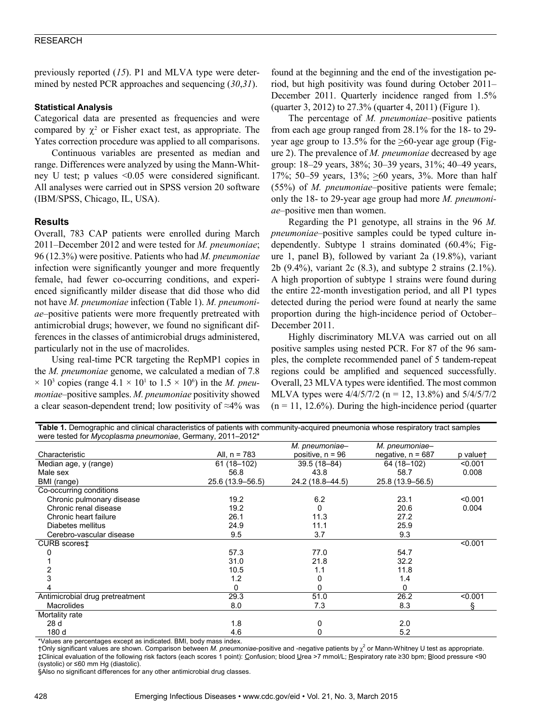previously reported (*15*). P1 and MLVA type were determined by nested PCR approaches and sequencing (*30*,*31*).

# **Statistical Analysis**

Categorical data are presented as frequencies and were compared by  $\chi^2$  or Fisher exact test, as appropriate. The Yates correction procedure was applied to all comparisons.

Continuous variables are presented as median and range. Differences were analyzed by using the Mann-Whitney U test; p values <0.05 were considered significant. All analyses were carried out in SPSS version 20 software (IBM/SPSS, Chicago, IL, USA).

# **Results**

Overall, 783 CAP patients were enrolled during March 2011–December 2012 and were tested for *M. pneumoniae*; 96 (12.3%) were positive. Patients who had *M. pneumoniae* infection were significantly younger and more frequently female, had fewer co-occurring conditions, and experienced significantly milder disease that did those who did not have *M. pneumoniae* infection (Table 1). *M. pneumoniae*–positive patients were more frequently pretreated with antimicrobial drugs; however, we found no significant differences in the classes of antimicrobial drugs administered, particularly not in the use of macrolides.

Using real-time PCR targeting the RepMP1 copies in the *M. pneumoniae* genome, we calculated a median of 7.8  $\times$  10<sup>3</sup> copies (range 4.1  $\times$  10<sup>1</sup> to 1.5  $\times$  10<sup>6</sup>) in the *M. pneumoniae*–positive samples. *M. pneumoniae* positivity showed a clear season-dependent trend; low positivity of ≈4% was

found at the beginning and the end of the investigation period, but high positivity was found during October 2011– December 2011. Quarterly incidence ranged from 1.5% (quarter 3, 2012) to 27.3% (quarter 4, 2011) (Figure 1).

The percentage of *M. pneumoniae*–positive patients from each age group ranged from 28.1% for the 18- to 29 year age group to 13.5% for the  $\geq 60$ -year age group (Figure 2). The prevalence of *M. pneumoniae* decreased by age group: 18–29 years, 38%; 30–39 years, 31%; 40–49 years, 17%; 50–59 years, 13%;  $\geq 60$  years, 3%. More than half (55%) of *M. pneumoniae*–positive patients were female; only the 18- to 29-year age group had more *M. pneumoniae*–positive men than women.

Regarding the P1 genotype, all strains in the 96 *M. pneumoniae*–positive samples could be typed culture independently. Subtype 1 strains dominated (60.4%; Figure 1, panel B), followed by variant 2a (19.8%), variant 2b (9.4%), variant 2c (8.3), and subtype 2 strains (2.1%). A high proportion of subtype 1 strains were found during the entire 22-month investigation period, and all P1 types detected during the period were found at nearly the same proportion during the high-incidence period of October– December 2011.

Highly discriminatory MLVA was carried out on all positive samples using nested PCR. For 87 of the 96 samples, the complete recommended panel of 5 tandem-repeat regions could be amplified and sequenced successfully. Overall, 23 MLVA types were identified. The most common MLVA types were 4/4/5/7/2 (n = 12, 13.8%) and 5/4/5/7/2  $(n = 11, 12.6%)$ . During the high-incidence period (quarter

| Table T. Demographic and chincal characteristics or patients with community-acquired priedmonia whose respiratory tract samples<br>were tested for Mycoplasma pneumoniae, Germany, 2011-2012* |                  |                    |                     |          |  |  |
|-----------------------------------------------------------------------------------------------------------------------------------------------------------------------------------------------|------------------|--------------------|---------------------|----------|--|--|
|                                                                                                                                                                                               |                  | M. pneumoniae-     | M. pneumoniae-      |          |  |  |
| Characteristic                                                                                                                                                                                | All, $n = 783$   | positive, $n = 96$ | negative, $n = 687$ | p valuet |  |  |
| Median age, y (range)                                                                                                                                                                         | 61 (18-102)      | 39.5 (18-84)       | 64 (18-102)         | < 0.001  |  |  |
| Male sex                                                                                                                                                                                      | 56.8             | 43.8               | 58.7                | 0.008    |  |  |
| BMI (range)                                                                                                                                                                                   | 25.6 (13.9-56.5) | 24.2 (18.8-44.5)   | 25.8 (13.9-56.5)    |          |  |  |
| Co-occurring conditions                                                                                                                                                                       |                  |                    |                     |          |  |  |
| Chronic pulmonary disease                                                                                                                                                                     | 19.2             | 6.2                | 23.1                | < 0.001  |  |  |
| Chronic renal disease                                                                                                                                                                         | 19.2             | 0                  | 20.6                | 0.004    |  |  |
| Chronic heart failure                                                                                                                                                                         | 26.1             | 11.3               | 27.2                |          |  |  |
| Diabetes mellitus                                                                                                                                                                             | 24.9             | 11.1               | 25.9                |          |  |  |
| Cerebro-vascular disease                                                                                                                                                                      | 9.5              | 3.7                | 9.3                 |          |  |  |
| CURB scorest                                                                                                                                                                                  |                  |                    |                     | < 0.001  |  |  |
|                                                                                                                                                                                               | 57.3             | 77.0               | 54.7                |          |  |  |
|                                                                                                                                                                                               | 31.0             | 21.8               | 32.2                |          |  |  |
|                                                                                                                                                                                               | 10.5             | 1.1                | 11.8                |          |  |  |
| 3                                                                                                                                                                                             | 1.2              | 0                  | 1.4                 |          |  |  |
|                                                                                                                                                                                               | 0                | 0                  | 0                   |          |  |  |
| Antimicrobial drug pretreatment                                                                                                                                                               | 29.3             | 51.0               | 26.2                | < 0.001  |  |  |
| <b>Macrolides</b>                                                                                                                                                                             | 8.0              | 7.3                | 8.3                 | ş        |  |  |
| Mortality rate                                                                                                                                                                                |                  |                    |                     |          |  |  |
| 28 d                                                                                                                                                                                          | 1.8              | 0                  | 2.0                 |          |  |  |
| 180 d                                                                                                                                                                                         | 4.6              | 0                  | 5.2                 |          |  |  |

**Table 1.** Demographic and clinical oberacteristics of patients with community-acquired pneumonia whose respiratory tract complex

\*Values are percentages except as indicated. BMI, body mass index.

†Only significant values are shown. Comparison between *M. pneumoniae*-positive and -negative patients by χ<sup>2</sup> or Mann-Whitney U test as appropriate. ‡Clinical evaluation of the following risk factors (each scores 1 point): Confusion; blood Urea >7 mmol/L; Respiratory rate ≥30 bpm; Blood pressure <90 (systolic) or ≤60 mm Hg (diastolic).

§Also no significant differences for any other antimicrobial drug classes.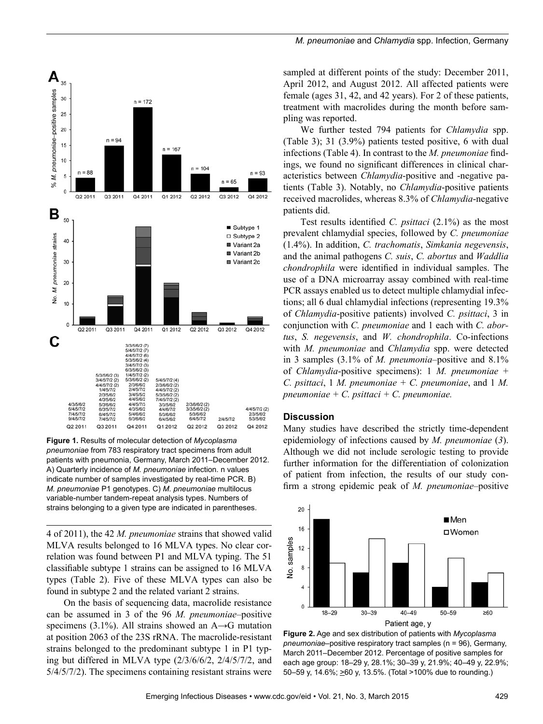

**Figure 1.** Results of molecular detection of *Mycoplasma pneumoniae* from 783 respiratory tract specimens from adult patients with pneumonia, Germany, March 2011–December 2012. A) Quarterly incidence of *M. pneumoniae* infection. n values indicate number of samples investigated by real-time PCR. B) *M. pneumoniae* P1 genotypes. C) *M. pneumoniae* multilocus variable-number tandem-repeat analysis types. Numbers of strains belonging to a given type are indicated in parentheses.

4 of 2011), the 42 *M. pneumoniae* strains that showed valid MLVA results belonged to 16 MLVA types. No clear correlation was found between P1 and MLVA typing. The 51 classifiable subtype 1 strains can be assigned to 16 MLVA types (Table 2). Five of these MLVA types can also be found in subtype 2 and the related variant 2 strains.

On the basis of sequencing data, macrolide resistance can be assumed in 3 of the 96 *M. pneumoniae*–positive specimens (3.1%). All strains showed an  $A\rightarrow G$  mutation at position 2063 of the 23S rRNA. The macrolide-resistant strains belonged to the predominant subtype 1 in P1 typing but differed in MLVA type (2/3/6/6/2, 2/4/5/7/2, and 5/4/5/7/2). The specimens containing resistant strains were

sampled at different points of the study: December 2011, April 2012, and August 2012. All affected patients were female (ages 31, 42, and 42 years). For 2 of these patients, treatment with macrolides during the month before sampling was reported.

We further tested 794 patients for *Chlamydia* spp. (Table 3); 31 (3.9%) patients tested positive, 6 with dual infections (Table 4). In contrast to the *M. pneumoniae* findings, we found no significant differences in clinical characteristics between *Chlamydia*-positive and -negative patients (Table 3). Notably, no *Chlamydia*-positive patients received macrolides, whereas 8.3% of *Chlamydia*-negative patients did.

Test results identified *C. psittaci* (2.1%) as the most prevalent chlamydial species, followed by *C. pneumoniae* (1.4%). In addition, *C. trachomatis*, *Simkania negevensis*, and the animal pathogens *C. suis*, *C. abortus* and *Waddlia chondrophila* were identified in individual samples. The use of a DNA microarray assay combined with real-time PCR assays enabled us to detect multiple chlamydial infections; all 6 dual chlamydial infections (representing 19.3% of *Chlamydia*-positive patients) involved *C. psittaci*, 3 in conjunction with *C. pneumoniae* and 1 each with *C. abortus*, *S. negevensis*, and *W. chondrophila*. Co-infections with *M. pneumoniae* and *Chlamydia* spp. were detected in 3 samples (3.1% of *M. pneumonia*–positive and 8.1% of *Chlamydia*-positive specimens): 1 *M. pneumoniae* + *C. psittaci*, 1 *M. pneumoniae + C. pneumoniae*, and 1 *M. pneumoniae + C. psittaci + C. pneumoniae.*

#### **Discussion**

Many studies have described the strictly time-dependent epidemiology of infections caused by *M. pneumoniae* (*3*). Although we did not include serologic testing to provide further information for the differentiation of colonization of patient from infection, the results of our study confirm a strong epidemic peak of *M. pneumoniae*–positive



**Figure 2.** Age and sex distribution of patients with *Mycoplasma pneumoniae*–positive respiratory tract samples (n = 96), Germany, March 2011–December 2012. Percentage of positive samples for each age group: 18–29 y, 28.1%; 30–39 y, 21.9%; 40–49 y, 22.9%; 50–59 y, 14.6%; >60 y, 13.5%. (Total >100% due to rounding.)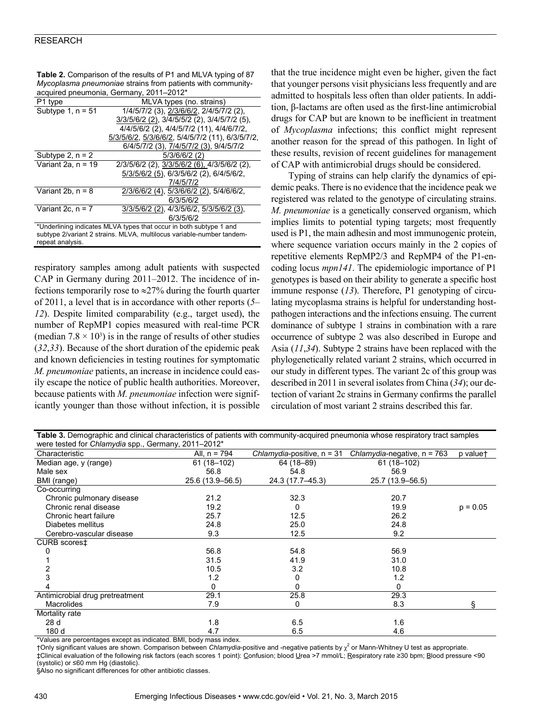### RESEARCH

| acquired pneumonia, Germany, 2011–2012*                               |                                                  |  |  |  |
|-----------------------------------------------------------------------|--------------------------------------------------|--|--|--|
| P1 type                                                               | MLVA types (no. strains)                         |  |  |  |
| Subtype $1, n = 51$                                                   | 1/4/5/7/2 (3), 2/3/6/6/2, 2/4/5/7/2 (2),         |  |  |  |
|                                                                       | 3/3/5/6/2 (2), 3/4/5/5/2 (2), 3/4/5/7/2 (5),     |  |  |  |
|                                                                       | 4/4/5/6/2 (2), 4/4/5/7/2 (11), 4/4/6/7/2,        |  |  |  |
|                                                                       | 5/3/5/6/2, 5/3/6/6/2, 5/4/5/7/2 (11), 6/3/5/7/2, |  |  |  |
|                                                                       | 6/4/5/7/2 (3), 7/4/5/7/2 (3), 9/4/5/7/2          |  |  |  |
| Subtype 2, $n = 2$                                                    | $5/3/6/6/2$ (2)                                  |  |  |  |
| Variant 2a. $n = 19$                                                  | 2/3/5/6/2 (2), 3/3/5/6/2 (6), 4/3/5/6/2 (2),     |  |  |  |
|                                                                       | 5/3/5/6/2 (5), 6/3/5/6/2 (2), 6/4/5/6/2,         |  |  |  |
|                                                                       | 7/4/5/7/2                                        |  |  |  |
| Variant 2b, $n = 8$                                                   | 2/3/6/6/2 (4), 5/3/6/6/2 (2), 5/4/6/6/2,         |  |  |  |
|                                                                       | 6/3/5/6/2                                        |  |  |  |
| Variant 2c. $n = 7$                                                   | 3/3/5/6/2 (2), 4/3/5/6/2, 5/3/5/6/2 (3),         |  |  |  |
|                                                                       | 6/3/5/6/2                                        |  |  |  |
| *Underlining indicates MLVA types that occur in both subtype 1 and    |                                                  |  |  |  |
| subtype 2/variant 2 strains. MLVA, multilocus variable-number tandem- |                                                  |  |  |  |
| repeat analysis.                                                      |                                                  |  |  |  |

Table 2. Comparison of the results of P1 and MLVA typing of 87 *Mycoplasma pneumoniae* strains from patients with community-

respiratory samples among adult patients with suspected CAP in Germany during 2011–2012. The incidence of infections temporarily rose to  $\approx$ 27% during the fourth quarter of 2011, a level that is in accordance with other reports (*5– 12*). Despite limited comparability (e.g., target used), the number of RepMP1 copies measured with real-time PCR (median  $7.8 \times 10^3$ ) is in the range of results of other studies (*32*,*33*). Because of the short duration of the epidemic peak and known deficiencies in testing routines for symptomatic *M. pneumoniae* patients, an increase in incidence could easily escape the notice of public health authorities. Moreover, because patients with *M. pneumoniae* infection were significantly younger than those without infection, it is possible

that the true incidence might even be higher, given the fact that younger persons visit physicians less frequently and are admitted to hospitals less often than older patients. In addition, β-lactams are often used as the first-line antimicrobial drugs for CAP but are known to be inefficient in treatment of *Mycoplasma* infections; this conflict might represent another reason for the spread of this pathogen. In light of these results, revision of recent guidelines for management of CAP with antimicrobial drugs should be considered.

Typing of strains can help clarify the dynamics of epidemic peaks. There is no evidence that the incidence peak we registered was related to the genotype of circulating strains. *M. pneumoniae* is a genetically conserved organism, which implies limits to potential typing targets; most frequently used is P1, the main adhesin and most immunogenic protein, where sequence variation occurs mainly in the 2 copies of repetitive elements RepMP2/3 and RepMP4 of the P1-encoding locus *mpn141*. The epidemiologic importance of P1 genotypes is based on their ability to generate a specific host immune response (*13*). Therefore, P1 genotyping of circulating mycoplasma strains is helpful for understanding hostpathogen interactions and the infections ensuing. The current dominance of subtype 1 strains in combination with a rare occurrence of subtype 2 was also described in Europe and Asia (*11*,*34*). Subtype 2 strains have been replaced with the phylogenetically related variant 2 strains, which occurred in our study in different types. The variant 2c of this group was described in 2011 in several isolates from China (*34*); our detection of variant 2c strains in Germany confirms the parallel circulation of most variant 2 strains described this far.

| Table 3. Demographic and clinical characteristics of patients with community-acquired pneumonia whose respiratory tract samples |                  |                              |                               |            |  |  |
|---------------------------------------------------------------------------------------------------------------------------------|------------------|------------------------------|-------------------------------|------------|--|--|
| were tested for <i>Chlamydia</i> spp., Germany, 2011–2012 <sup>*</sup>                                                          |                  |                              |                               |            |  |  |
| Characteristic                                                                                                                  | All, $n = 794$   | Chlamydia-positive, $n = 31$ | Chlamydia-negative, $n = 763$ | p valuet   |  |  |
| Median age, y (range)                                                                                                           | 61 (18-102)      | 64 (18-89)                   | 61 (18-102)                   |            |  |  |
| Male sex                                                                                                                        | 56.8             | 54.8                         | 56.9                          |            |  |  |
| BMI (range)                                                                                                                     | 25.6 (13.9–56.5) | 24.3 (17.7-45.3)             | 25.7 (13.9–56.5)              |            |  |  |
| Co-occurring                                                                                                                    |                  |                              |                               |            |  |  |
| Chronic pulmonary disease                                                                                                       | 21.2             | 32.3                         | 20.7                          |            |  |  |
| Chronic renal disease                                                                                                           | 19.2             | 0                            | 19.9                          | $p = 0.05$ |  |  |
| Chronic heart failure                                                                                                           | 25.7             | 12.5                         | 26.2                          |            |  |  |
| Diabetes mellitus                                                                                                               | 24.8             | 25.0                         | 24.8                          |            |  |  |
| Cerebro-vascular disease                                                                                                        | 9.3              | 12.5                         | 9.2                           |            |  |  |
| CURB scores‡                                                                                                                    |                  |                              |                               |            |  |  |
|                                                                                                                                 | 56.8             | 54.8                         | 56.9                          |            |  |  |
|                                                                                                                                 | 31.5             | 41.9                         | 31.0                          |            |  |  |
|                                                                                                                                 | 10.5             | 3.2                          | 10.8                          |            |  |  |
|                                                                                                                                 | 1.2              | 0                            | 1.2                           |            |  |  |
|                                                                                                                                 | 0                | 0                            | <sup>0</sup>                  |            |  |  |
| Antimicrobial drug pretreatment                                                                                                 | 29.1             | 25.8                         | 29.3                          |            |  |  |
| <b>Macrolides</b>                                                                                                               | 7.9              | 0                            | 8.3                           |            |  |  |
| Mortality rate                                                                                                                  |                  |                              |                               |            |  |  |
| 28 d                                                                                                                            | 1.8              | 6.5                          | 1.6                           |            |  |  |
| 180 d                                                                                                                           | 4.7              | 6.5                          | 4.6                           |            |  |  |

\*Values are percentages except as indicated. BMI, body mass index.

†Only significant values are shown. Comparison between *Chlamydia*-positive and -negative patients by χ<sup>2</sup> or Mann-Whitney U test as appropriate. ‡Clinical evaluation of the following risk factors (each scores 1 point): Confusion; blood Urea >7 mmol/L; Respiratory rate ≥30 bpm; Blood pressure <90 (systolic) or ≤60 mm Hg (diastolic).

§Also no significant differences for other antibiotic classes.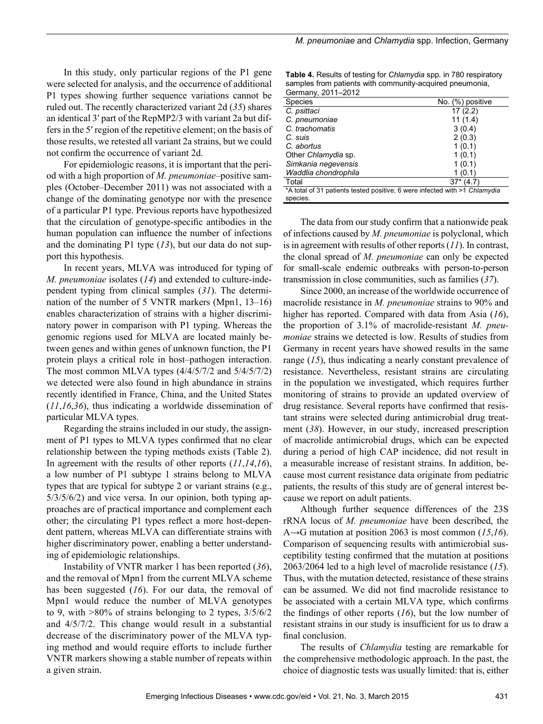In this study, only particular regions of the P1 gene were selected for analysis, and the occurrence of additional P1 types showing further sequence variations cannot be ruled out. The recently characterized variant 2d (*35*) shares an identical 3′ part of the RepMP2/3 with variant 2a but differs in the 5′ region of the repetitive element; on the basis of those results, we retested all variant 2a strains, but we could not confirm the occurrence of variant 2d.

For epidemiologic reasons, it is important that the period with a high proportion of *M. pneumoniae*–positive samples (October–December 2011) was not associated with a change of the dominating genotype nor with the presence of a particular P1 type. Previous reports have hypothesized that the circulation of genotype-specific antibodies in the human population can influence the number of infections and the dominating P1 type (*13*), but our data do not support this hypothesis.

In recent years, MLVA was introduced for typing of *M. pneumoniae* isolates (*14*) and extended to culture-independent typing from clinical samples (*31*). The determination of the number of 5 VNTR markers (Mpn1, 13–16) enables characterization of strains with a higher discriminatory power in comparison with P1 typing. Whereas the genomic regions used for MLVA are located mainly between genes and within genes of unknown function, the P1 protein plays a critical role in host–pathogen interaction. The most common MLVA types (4/4/5/7/2 and 5/4/5/7/2) we detected were also found in high abundance in strains recently identified in France, China, and the United States (*11*,*16*,*36*), thus indicating a worldwide dissemination of particular MLVA types.

Regarding the strains included in our study, the assignment of P1 types to MLVA types confirmed that no clear relationship between the typing methods exists (Table 2). In agreement with the results of other reports (*11*,*14*,*16*), a low number of P1 subtype 1 strains belong to MLVA types that are typical for subtype 2 or variant strains (e.g., 5/3/5/6/2) and vice versa. In our opinion, both typing approaches are of practical importance and complement each other; the circulating P1 types reflect a more host-dependent pattern, whereas MLVA can differentiate strains with higher discriminatory power, enabling a better understanding of epidemiologic relationships.

Instability of VNTR marker 1 has been reported (*36*), and the removal of Mpn1 from the current MLVA scheme has been suggested (*16*). For our data, the removal of Mpn1 would reduce the number of MLVA genotypes to 9, with >80% of strains belonging to 2 types, 3/5/6/2 and 4/5/7/2. This change would result in a substantial decrease of the discriminatory power of the MLVA typing method and would require efforts to include further VNTR markers showing a stable number of repeats within a given strain.

Table 4. Results of testing for *Chlamydia* spp. in 780 respiratory samples from patients with community-acquired pneumonia, Germany, 2011–2012

| Species                                                                    | No. (%) positive |  |  |
|----------------------------------------------------------------------------|------------------|--|--|
| C. psittaci                                                                | 17(2.2)          |  |  |
| C. pneumoniae                                                              | 11(1.4)          |  |  |
| C. trachomatis                                                             | 3(0.4)           |  |  |
| C. suis                                                                    | 2(0.3)           |  |  |
| C. abortus                                                                 | 1(0.1)           |  |  |
| Other Chlamydia sp.                                                        | 1(0.1)           |  |  |
| Simkania negevensis                                                        | 1(0.1)           |  |  |
| Waddlia chondrophila                                                       | (0.1)            |  |  |
| Total                                                                      | $37*$<br>(4.7)   |  |  |
| *A total of 31 patients tested positive; 6 were infected with >1 Chlamydia |                  |  |  |
| species.                                                                   |                  |  |  |

The data from our study confirm that a nationwide peak of infections caused by *M. pneumoniae* is polyclonal, which is in agreement with results of other reports (*11*). In contrast, the clonal spread of *M. pneumoniae* can only be expected for small-scale endemic outbreaks with person-to-person transmission in close communities, such as families (*37*).

Since 2000, an increase of the worldwide occurrence of macrolide resistance in *M. pneumoniae* strains to 90% and higher has reported. Compared with data from Asia (*16*), the proportion of 3.1% of macrolide-resistant *M. pneumoniae* strains we detected is low. Results of studies from Germany in recent years have showed results in the same range (*15*), thus indicating a nearly constant prevalence of resistance. Nevertheless, resistant strains are circulating in the population we investigated, which requires further monitoring of strains to provide an updated overview of drug resistance. Several reports have confirmed that resistant strains were selected during antimicrobial drug treatment (*38*). However, in our study, increased prescription of macrolide antimicrobial drugs, which can be expected during a period of high CAP incidence, did not result in a measurable increase of resistant strains. In addition, because most current resistance data originate from pediatric patients, the results of this study are of general interest because we report on adult patients.

Although further sequence differences of the 23S rRNA locus of *M. pneumoniae* have been described, the A→G mutation at position 2063 is most common (*15*,*16*). Comparison of sequencing results with antimicrobial susceptibility testing confirmed that the mutation at positions 2063/2064 led to a high level of macrolide resistance (*15*). Thus, with the mutation detected, resistance of these strains can be assumed. We did not find macrolide resistance to be associated with a certain MLVA type, which confirms the findings of other reports (*16*), but the low number of resistant strains in our study is insufficient for us to draw a final conclusion.

The results of *Chlamydia* testing are remarkable for the comprehensive methodologic approach. In the past, the choice of diagnostic tests was usually limited: that is, either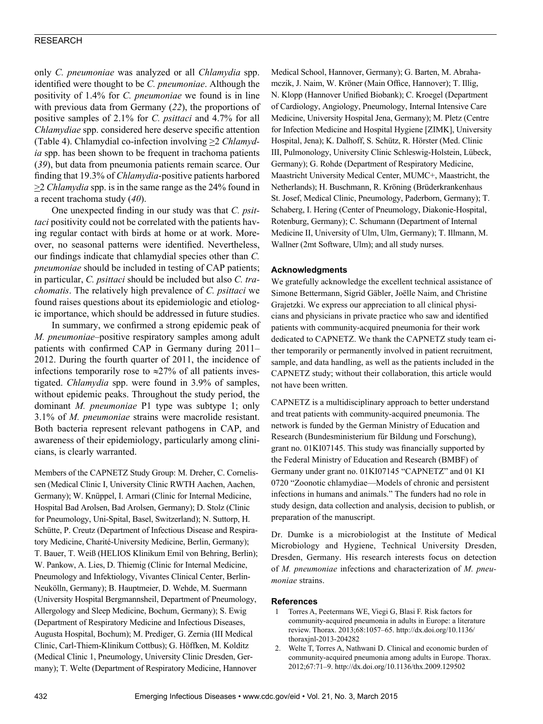# RESEARCH

only *C. pneumoniae* was analyzed or all *Chlamydia* spp. identified were thought to be *C. pneumoniae*. Although the positivity of 1.4% for *C. pneumoniae* we found is in line with previous data from Germany (*22*), the proportions of positive samples of 2.1% for *C. psittaci* and 4.7% for all *Chlamydiae* spp. considered here deserve specific attention (Table 4). Chlamydial co-infection involving >2 *Chlamydia* spp. has been shown to be frequent in trachoma patients (*39*), but data from pneumonia patients remain scarce. Our finding that 19.3% of *Chlamydia*-positive patients harbored >2 *Chlamydia* spp. is in the same range as the 24% found in a recent trachoma study (*40*).

One unexpected finding in our study was that *C. psittaci* positivity could not be correlated with the patients having regular contact with birds at home or at work. Moreover, no seasonal patterns were identified. Nevertheless, our findings indicate that chlamydial species other than *C. pneumoniae* should be included in testing of CAP patients; in particular, *C. psittaci* should be included but also *C. trachomatis*. The relatively high prevalence of *C. psittaci* we found raises questions about its epidemiologic and etiologic importance, which should be addressed in future studies.

In summary, we confirmed a strong epidemic peak of *M. pneumoniae*–positive respiratory samples among adult patients with confirmed CAP in Germany during 2011– 2012. During the fourth quarter of 2011, the incidence of infections temporarily rose to  $\approx$ 27% of all patients investigated. *Chlamydia* spp. were found in 3.9% of samples, without epidemic peaks. Throughout the study period, the dominant *M. pneumoniae* P1 type was subtype 1; only 3.1% of *M. pneumoniae* strains were macrolide resistant. Both bacteria represent relevant pathogens in CAP, and awareness of their epidemiology, particularly among clinicians, is clearly warranted.

Members of the CAPNETZ Study Group: M. Dreher, C. Cornelissen (Medical Clinic I, University Clinic RWTH Aachen, Aachen, Germany); W. Knüppel, I. Armari (Clinic for Internal Medicine, Hospital Bad Arolsen, Bad Arolsen, Germany); D. Stolz (Clinic for Pneumology, Uni-Spital, Basel, Switzerland); N. Suttorp, H. Schütte, P. Creutz (Department of Infectious Disease and Respiratory Medicine, Charité-University Medicine, Berlin, Germany); T. Bauer, T. Weiß (HELIOS Klinikum Emil von Behring, Berlin); W. Pankow, A. Lies, D. Thiemig (Clinic for Internal Medicine, Pneumology and Infektiology, Vivantes Clinical Center, Berlin-Neukölln, Germany); B. Hauptmeier, D. Wehde, M. Suermann (University Hospital Bergmannsheil, Department of Pneumology, Allergology and Sleep Medicine, Bochum, Germany); S. Ewig (Department of Respiratory Medicine and Infectious Diseases, Augusta Hospital, Bochum); M. Prediger, G. Zernia (III Medical Clinic, Carl-Thiem-Klinikum Cottbus); G. Höffken, M. Kolditz (Medical Clinic 1, Pneumology, University Clinic Dresden, Germany); T. Welte (Department of Respiratory Medicine, Hannover

Medical School, Hannover, Germany); G. Barten, M. Abrahamczik, J. Naim, W. Kröner (Main Office, Hannover); T. Illig, N. Klopp (Hannover Unified Biobank); C. Kroegel (Department of Cardiology, Angiology, Pneumology, Internal Intensive Care Medicine, University Hospital Jena, Germany); M. Pletz (Centre for Infection Medicine and Hospital Hygiene [ZIMK], University Hospital, Jena); K. Dalhoff, S. Schütz, R. Hörster (Med. Clinic III, Pulmonology, University Clinic Schleswig-Holstein, Lübeck, Germany); G. Rohde (Department of Respiratory Medicine, Maastricht University Medical Center, MUMC+, Maastricht, the Netherlands); H. Buschmann, R. Kröning (Brüderkrankenhaus St. Josef, Medical Clinic, Pneumology, Paderborn, Germany); T. Schaberg, I. Hering (Center of Pneumology, Diakonie-Hospital, Rotenburg, Germany); C. Schumann (Department of Internal Medicine II, University of Ulm, Ulm, Germany); T. Illmann, M. Wallner (2mt Software, Ulm); and all study nurses.

#### **Acknowledgments**

We gratefully acknowledge the excellent technical assistance of Simone Bettermann, Sigrid Gäbler, Joëlle Naim, and Christine Grajetzki. We express our appreciation to all clinical physicians and physicians in private practice who saw and identified patients with community-acquired pneumonia for their work dedicated to CAPNETZ. We thank the CAPNETZ study team either temporarily or permanently involved in patient recruitment, sample, and data handling, as well as the patients included in the CAPNETZ study; without their collaboration, this article would not have been written.

CAPNETZ is a multidisciplinary approach to better understand and treat patients with community-acquired pneumonia. The network is funded by the German Ministry of Education and Research (Bundesministerium für Bildung und Forschung), grant no. 01KI07145. This study was financially supported by the Federal Ministry of Education and Research (BMBF) of Germany under grant no. 01KI07145 "CAPNETZ" and 01 KI 0720 "Zoonotic chlamydiae—Models of chronic and persistent infections in humans and animals." The funders had no role in study design, data collection and analysis, decision to publish, or preparation of the manuscript.

Dr. Dumke is a microbiologist at the Institute of Medical Microbiology and Hygiene, Technical University Dresden, Dresden, Germany. His research interests focus on detection of *M. pneumoniae* infections and characterization of *M. pneumoniae* strains.

#### **References**

- 1 Torres A, Peetermans WE, Viegi G, Blasi F. Risk factors for community-acquired pneumonia in adults in Europe: a literature review. Thorax. 2013;68:1057–65. http://dx.doi.org/10.1136/ thoraxjnl-2013-204282
- 2. Welte T, Torres A, Nathwani D. Clinical and economic burden of community-acquired pneumonia among adults in Europe. Thorax. 2012;67:71–9. http://dx.doi.org/10.1136/thx.2009.129502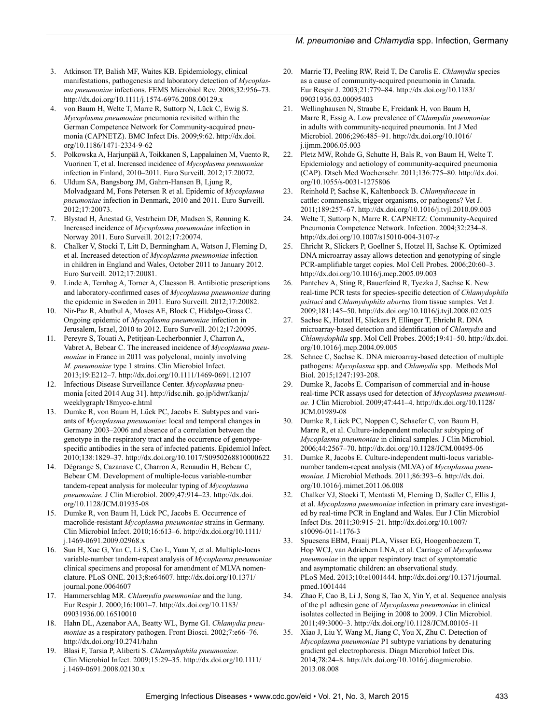#### *M. pneumoniae* and *Chlamydia* spp. Infection, Germany

- 3. Atkinson TP, Balish MF, Waites KB. Epidemiology, clinical manifestations, pathogenesis and laboratory detection of *Mycoplasma pneumoniae* infections. FEMS Microbiol Rev. 2008;32:956–73. http://dx.doi.org/10.1111/j.1574-6976.2008.00129.x
- 4. von Baum H, Welte T, Marre R, Suttorp N, Lück C, Ewig S. *Mycoplasma pneumoniae* pneumonia revisited within the German Competence Network for Community-acquired pneumonia (CAPNETZ). BMC Infect Dis. 2009;9:62. http://dx.doi. org/10.1186/1471-2334-9-62
- 5. Polkowska A, Harjunpää A, Toikkanen S, Lappalainen M, Vuento R, Vuorinen T, et al. Increased incidence of *Mycoplasma pneumoniae* infection in Finland, 2010–2011. Euro Surveill. 2012;17:20072.
- 6. Uldum SA, Bangsborg JM, Gahrn-Hansen B, Ljung R, Molvadgaard M, Fons Petersen R et al. Epidemic of *Mycoplasma pneumoniae* infection in Denmark, 2010 and 2011. Euro Surveill. 2012;17:20073.
- 7. Blystad H, Ånestad G, Vestrheim DF, Madsen S, Rønning K. Increased incidence of *Mycoplasma pneumoniae* infection in Norway 2011. Euro Surveill. 2012;17:20074.
- 8. Chalker V, Stocki T, Litt D, Bermingham A, Watson J, Fleming D, et al. Increased detection of *Mycoplasma pneumoniae* infection in children in England and Wales, October 2011 to January 2012. Euro Surveill. 2012;17:20081.
- 9. Linde A, Ternhag A, Torner A, Claesson B. Antibiotic prescriptions and laboratory-confirmed cases of *Mycoplasma pneumoniae* during the epidemic in Sweden in 2011. Euro Surveill. 2012;17:20082.
- 10. Nir-Paz R, Abutbul A, Moses AE, Block C, Hidalgo-Grass C. Ongoing epidemic of *Mycoplasma pneumoniae* infection in Jerusalem, Israel, 2010 to 2012. Euro Surveill. 2012;17:20095.
- 11. Pereyre S, Touati A, Petitjean-Lecherbonnier J, Charron A, Vabret A, Bebear C. The increased incidence of *Mycoplasma pneumoniae* in France in 2011 was polyclonal, mainly involving *M. pneumoniae* type 1 strains. Clin Microbiol Infect. 2013;19:E212–7. http://dx.doi.org/10.1111/1469-0691.12107
- 12. Infectious Disease Surveillance Center. *Mycoplasma* pneumonia [cited 2014 Aug 31]. http://idsc.nih. go.jp/idwr/kanja/ weeklygraph/18myco-e.html
- 13. Dumke R, von Baum H, Lück PC, Jacobs E. Subtypes and variants of *Mycoplasma pneumoniae*: local and temporal changes in Germany 2003–2006 and absence of a correlation between the genotype in the respiratory tract and the occurrence of genotypespecific antibodies in the sera of infected patients. Epidemiol Infect. 2010;138:1829–37. http://dx.doi.org/10.1017/S0950268810000622
- 14. Dégrange S, Cazanave C, Charron A, Renaudin H, Bebear C, Bebear CM. Development of multiple-locus variable-number tandem-repeat analysis for molecular typing of *Mycoplasma pneumoniae.* J Clin Microbiol. 2009;47:914–23. http://dx.doi. org/10.1128/JCM.01935-08
- 15. Dumke R, von Baum H, Lück PC, Jacobs E. Occurrence of macrolide-resistant *Mycoplasma pneumoniae* strains in Germany. Clin Microbiol Infect. 2010;16:613–6. http://dx.doi.org/10.1111/ j.1469-0691.2009.02968.x
- 16. Sun H, Xue G, Yan C, Li S, Cao L, Yuan Y, et al. Multiple-locus variable-number tandem-repeat analysis of *Mycoplasma pneumoniae* clinical specimens and proposal for amendment of MLVA nomenclature. PLoS ONE. 2013;8:e64607. http://dx.doi.org/10.1371/ journal.pone.0064607
- 17. Hammerschlag MR. *Chlamydia pneumoniae* and the lung. Eur Respir J. 2000;16:1001–7. http://dx.doi.org/10.1183/ 09031936.00.16510010
- 18. Hahn DL, Azenabor AA, Beatty WL, Byrne GI. *Chlamydia pneumoniae* as a respiratory pathogen. Front Biosci. 2002;7:e66–76. http://dx.doi.org/10.2741/hahn
- 19. Blasi F, Tarsia P, Aliberti S. *Chlamydophila pneumoniae*. Clin Microbiol Infect. 2009;15:29–35. http://dx.doi.org/10.1111/ j.1469-0691.2008.02130.x
- 20. Marrie TJ, Peeling RW, Reid T, De Carolis E. *Chlamydia* species as a cause of community-acquired pneumonia in Canada. Eur Respir J. 2003;21:779–84. http://dx.doi.org/10.1183/ 09031936.03.00095403
- 21. Wellinghausen N, Straube E, Freidank H, von Baum H, Marre R, Essig A. Low prevalence of *Chlamydia pneumoniae* in adults with community-acquired pneumonia. Int J Med Microbiol. 2006;296:485–91. http://dx.doi.org/10.1016/ j.ijmm.2006.05.003
- 22. Pletz MW, Rohde G, Schutte H, Bals R, von Baum H, Welte T. Epidemiology and aetiology of community-acquired pneumonia (CAP). Dtsch Med Wochenschr. 2011;136:775–80. http://dx.doi. org/10.1055/s-0031-1275806
- 23. Reinhold P, Sachse K, Kaltenboeck B. *Chlamydiaceae* in cattle: commensals, trigger organisms, or pathogens? Vet J. 2011;189:257–67. http://dx.doi.org/10.1016/j.tvjl.2010.09.003
- 24. Welte T, Suttorp N, Marre R. CAPNETZ: Community-Acquired Pneumonia Competence Network. Infection. 2004;32:234–8. http://dx.doi.org/10.1007/s15010-004-3107-z
- 25. Ehricht R, Slickers P, Goellner S, Hotzel H, Sachse K. Optimized DNA microarray assay allows detection and genotyping of single PCR-amplifiable target copies. Mol Cell Probes. 2006;20:60–3. http://dx.doi.org/10.1016/j.mcp.2005.09.003
- 26. Pantchev A, Sting R, Bauerfeind R, Tyczka J, Sachse K. New real-time PCR tests for species-specific detection of *Chlamydophila psittaci* and *Chlamydophila abortus* from tissue samples. Vet J. 2009;181:145–50. http://dx.doi.org/10.1016/j.tvjl.2008.02.025
- 27. Sachse K, Hotzel H, Slickers P, Ellinger T, Ehricht R. DNA microarray-based detection and identification of *Chlamydia* and *Chlamydophila* spp. Mol Cell Probes. 2005;19:41–50. http://dx.doi. org/10.1016/j.mcp.2004.09.005
- 28. Schnee C, Sachse K. DNA microarray-based detection of multiple pathogens: *Mycoplasma* spp. and *Chlamydia* spp. Methods Mol Biol. 2015;1247:193-208.
- 29. Dumke R, Jacobs E. Comparison of commercial and in-house real-time PCR assays used for detection of *Mycoplasma pneumoniae.* J Clin Microbiol. 2009;47:441–4. http://dx.doi.org/10.1128/ JCM.01989-08
- 30. Dumke R, Lück PC, Noppen C, Schaefer C, von Baum H, Marre R, et al. Culture-independent molecular subtyping of *Mycoplasma pneumoniae* in clinical samples. J Clin Microbiol. 2006;44:2567–70. http://dx.doi.org/10.1128/JCM.00495-06
- 31. Dumke R, Jacobs E. Culture-independent multi-locus variablenumber tandem-repeat analysis (MLVA) of *Mycoplasma pneumoniae.* J Microbiol Methods. 2011;86:393–6. http://dx.doi. org/10.1016/j.mimet.2011.06.008
- 32. Chalker VJ, Stocki T, Mentasti M, Fleming D, Sadler C, Ellis J, et al. *Mycoplasma pneumoniae* infection in primary care investigated by real-time PCR in England and Wales. Eur J Clin Microbiol Infect Dis. 2011;30:915–21. http://dx.doi.org/10.1007/ s10096-011-1176-3
- 33. Spuesens EBM, Fraaij PLA, Visser EG, Hoogenboezem T, Hop WCJ, van Adrichem LNA, et al. Carriage of *Mycoplasma pneumoniae* in the upper respiratory tract of symptomatic and asymptomatic children: an observational study. PLoS Med. 2013;10:e1001444. http://dx.doi.org/10.1371/journal. pmed.1001444
- 34. Zhao F, Cao B, Li J, Song S, Tao X, Yin Y, et al. Sequence analysis of the p1 adhesin gene of *Mycoplasma pneumoniae* in clinical isolates collected in Beijing in 2008 to 2009. J Clin Microbiol. 2011;49:3000–3. http://dx.doi.org/10.1128/JCM.00105-11
- 35. Xiao J, Liu Y, Wang M, Jiang C, You X, Zhu C. Detection of *Mycoplasma pneumoniae* P1 subtype variations by denaturing gradient gel electrophoresis. Diagn Microbiol Infect Dis. 2014;78:24–8. http://dx.doi.org/10.1016/j.diagmicrobio. 2013.08.008